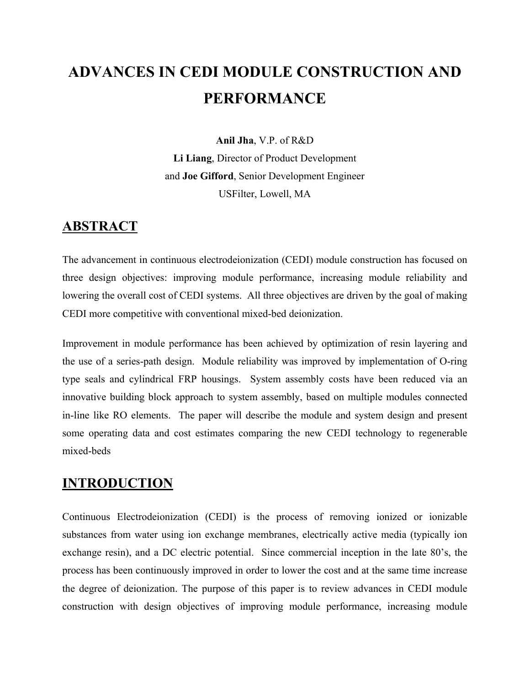# **ADVANCES IN CEDI MODULE CONSTRUCTION AND PERFORMANCE**

**Anil Jha**, V.P. of R&D **Li Liang**, Director of Product Development and **Joe Gifford**, Senior Development Engineer USFilter, Lowell, MA

### **ABSTRACT**

The advancement in continuous electrodeionization (CEDI) module construction has focused on three design objectives: improving module performance, increasing module reliability and lowering the overall cost of CEDI systems. All three objectives are driven by the goal of making CEDI more competitive with conventional mixed-bed deionization.

Improvement in module performance has been achieved by optimization of resin layering and the use of a series-path design. Module reliability was improved by implementation of O-ring type seals and cylindrical FRP housings. System assembly costs have been reduced via an innovative building block approach to system assembly, based on multiple modules connected in-line like RO elements. The paper will describe the module and system design and present some operating data and cost estimates comparing the new CEDI technology to regenerable mixed-beds

## **INTRODUCTION**

Continuous Electrodeionization (CEDI) is the process of removing ionized or ionizable substances from water using ion exchange membranes, electrically active media (typically ion exchange resin), and a DC electric potential. Since commercial inception in the late 80's, the process has been continuously improved in order to lower the cost and at the same time increase the degree of deionization. The purpose of this paper is to review advances in CEDI module construction with design objectives of improving module performance, increasing module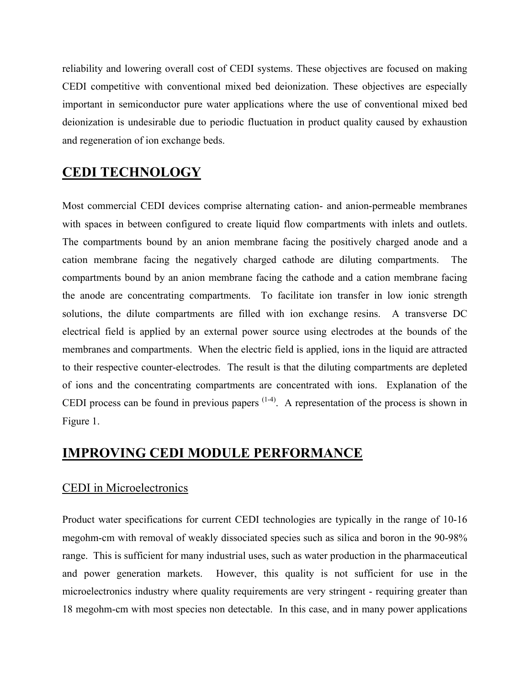reliability and lowering overall cost of CEDI systems. These objectives are focused on making CEDI competitive with conventional mixed bed deionization. These objectives are especially important in semiconductor pure water applications where the use of conventional mixed bed deionization is undesirable due to periodic fluctuation in product quality caused by exhaustion and regeneration of ion exchange beds.

# **CEDI TECHNOLOGY**

Most commercial CEDI devices comprise alternating cation- and anion-permeable membranes with spaces in between configured to create liquid flow compartments with inlets and outlets. The compartments bound by an anion membrane facing the positively charged anode and a cation membrane facing the negatively charged cathode are diluting compartments. The compartments bound by an anion membrane facing the cathode and a cation membrane facing the anode are concentrating compartments. To facilitate ion transfer in low ionic strength solutions, the dilute compartments are filled with ion exchange resins. A transverse DC electrical field is applied by an external power source using electrodes at the bounds of the membranes and compartments. When the electric field is applied, ions in the liquid are attracted to their respective counter-electrodes. The result is that the diluting compartments are depleted of ions and the concentrating compartments are concentrated with ions. Explanation of the CEDI process can be found in previous papers  $(1-4)$ . A representation of the process is shown in Figure 1.

## **IMPROVING CEDI MODULE PERFORMANCE**

### CEDI in Microelectronics

Product water specifications for current CEDI technologies are typically in the range of 10-16 megohm-cm with removal of weakly dissociated species such as silica and boron in the 90-98% range. This is sufficient for many industrial uses, such as water production in the pharmaceutical and power generation markets. However, this quality is not sufficient for use in the microelectronics industry where quality requirements are very stringent - requiring greater than 18 megohm-cm with most species non detectable. In this case, and in many power applications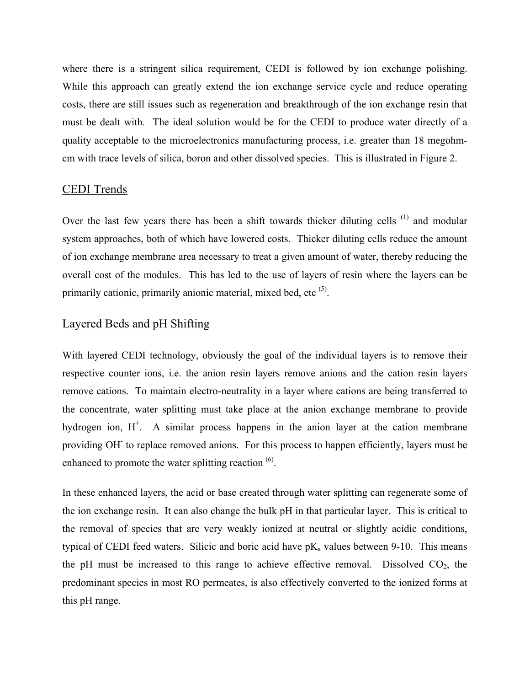where there is a stringent silica requirement, CEDI is followed by ion exchange polishing. While this approach can greatly extend the ion exchange service cycle and reduce operating costs, there are still issues such as regeneration and breakthrough of the ion exchange resin that must be dealt with. The ideal solution would be for the CEDI to produce water directly of a quality acceptable to the microelectronics manufacturing process, i.e. greater than 18 megohmcm with trace levels of silica, boron and other dissolved species. This is illustrated in Figure 2.

#### CEDI Trends

Over the last few years there has been a shift towards thicker diluting cells <sup>(1)</sup> and modular system approaches, both of which have lowered costs. Thicker diluting cells reduce the amount of ion exchange membrane area necessary to treat a given amount of water, thereby reducing the overall cost of the modules. This has led to the use of layers of resin where the layers can be primarily cationic, primarily anionic material, mixed bed, etc  $<sup>(5)</sup>$ .</sup>

#### Layered Beds and pH Shifting

With layered CEDI technology, obviously the goal of the individual layers is to remove their respective counter ions, i.e. the anion resin layers remove anions and the cation resin layers remove cations. To maintain electro-neutrality in a layer where cations are being transferred to the concentrate, water splitting must take place at the anion exchange membrane to provide hydrogen ion,  $H^+$ . A similar process happens in the anion layer at the cation membrane providing OH<sup>-</sup> to replace removed anions. For this process to happen efficiently, layers must be enhanced to promote the water splitting reaction  $(6)$ .

In these enhanced layers, the acid or base created through water splitting can regenerate some of the ion exchange resin. It can also change the bulk pH in that particular layer. This is critical to the removal of species that are very weakly ionized at neutral or slightly acidic conditions, typical of CEDI feed waters. Silicic and boric acid have  $pK_a$  values between 9-10. This means the pH must be increased to this range to achieve effective removal. Dissolved  $CO<sub>2</sub>$ , the predominant species in most RO permeates, is also effectively converted to the ionized forms at this pH range.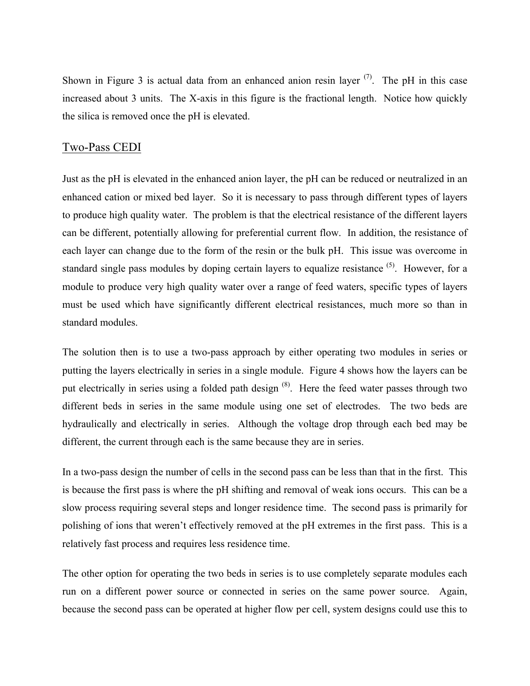Shown in Figure 3 is actual data from an enhanced anion resin layer  $(7)$ . The pH in this case increased about 3 units. The X-axis in this figure is the fractional length. Notice how quickly the silica is removed once the pH is elevated.

#### Two-Pass CEDI

Just as the pH is elevated in the enhanced anion layer, the pH can be reduced or neutralized in an enhanced cation or mixed bed layer. So it is necessary to pass through different types of layers to produce high quality water. The problem is that the electrical resistance of the different layers can be different, potentially allowing for preferential current flow. In addition, the resistance of each layer can change due to the form of the resin or the bulk pH. This issue was overcome in standard single pass modules by doping certain layers to equalize resistance  $(5)$ . However, for a module to produce very high quality water over a range of feed waters, specific types of layers must be used which have significantly different electrical resistances, much more so than in standard modules.

The solution then is to use a two-pass approach by either operating two modules in series or putting the layers electrically in series in a single module. Figure 4 shows how the layers can be put electrically in series using a folded path design <sup>(8)</sup>. Here the feed water passes through two different beds in series in the same module using one set of electrodes. The two beds are hydraulically and electrically in series. Although the voltage drop through each bed may be different, the current through each is the same because they are in series.

In a two-pass design the number of cells in the second pass can be less than that in the first. This is because the first pass is where the pH shifting and removal of weak ions occurs. This can be a slow process requiring several steps and longer residence time. The second pass is primarily for polishing of ions that weren't effectively removed at the pH extremes in the first pass. This is a relatively fast process and requires less residence time.

The other option for operating the two beds in series is to use completely separate modules each run on a different power source or connected in series on the same power source. Again, because the second pass can be operated at higher flow per cell, system designs could use this to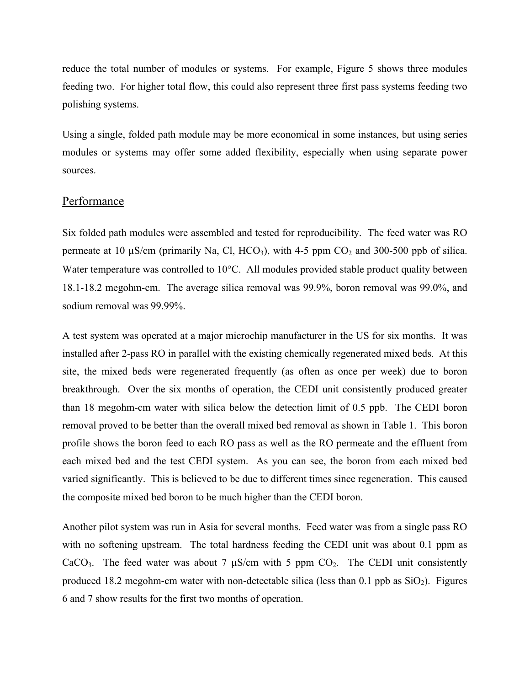reduce the total number of modules or systems. For example, Figure 5 shows three modules feeding two. For higher total flow, this could also represent three first pass systems feeding two polishing systems.

Using a single, folded path module may be more economical in some instances, but using series modules or systems may offer some added flexibility, especially when using separate power sources.

#### **Performance**

Six folded path modules were assembled and tested for reproducibility. The feed water was RO permeate at 10  $\mu$ S/cm (primarily Na, Cl, HCO<sub>3</sub>), with 4-5 ppm CO<sub>2</sub> and 300-500 ppb of silica. Water temperature was controlled to 10°C. All modules provided stable product quality between 18.1-18.2 megohm-cm. The average silica removal was 99.9%, boron removal was 99.0%, and sodium removal was 99.99%.

A test system was operated at a major microchip manufacturer in the US for six months. It was installed after 2-pass RO in parallel with the existing chemically regenerated mixed beds. At this site, the mixed beds were regenerated frequently (as often as once per week) due to boron breakthrough. Over the six months of operation, the CEDI unit consistently produced greater than 18 megohm-cm water with silica below the detection limit of 0.5 ppb. The CEDI boron removal proved to be better than the overall mixed bed removal as shown in Table 1. This boron profile shows the boron feed to each RO pass as well as the RO permeate and the effluent from each mixed bed and the test CEDI system. As you can see, the boron from each mixed bed varied significantly. This is believed to be due to different times since regeneration. This caused the composite mixed bed boron to be much higher than the CEDI boron.

Another pilot system was run in Asia for several months. Feed water was from a single pass RO with no softening upstream. The total hardness feeding the CEDI unit was about 0.1 ppm as CaCO<sub>3</sub>. The feed water was about 7  $\mu$ S/cm with 5 ppm CO<sub>2</sub>. The CEDI unit consistently produced 18.2 megohm-cm water with non-detectable silica (less than  $0.1$  ppb as  $SiO<sub>2</sub>$ ). Figures 6 and 7 show results for the first two months of operation.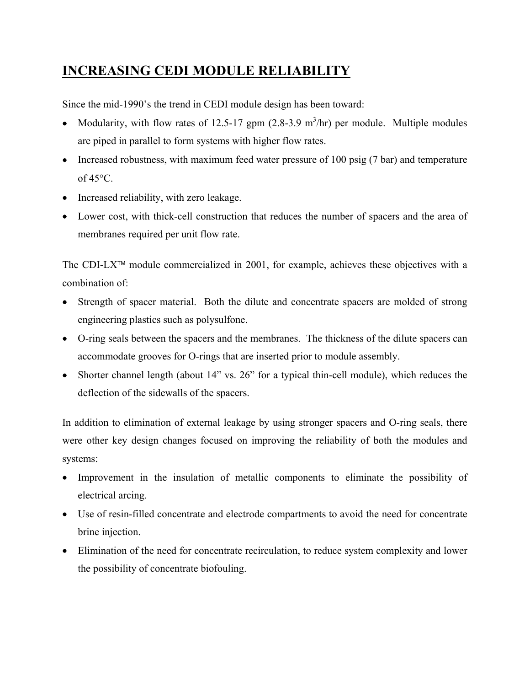# **INCREASING CEDI MODULE RELIABILITY**

Since the mid-1990's the trend in CEDI module design has been toward:

- Modularity, with flow rates of 12.5-17 gpm  $(2.8-3.9 \text{ m}^3/\text{hr})$  per module. Multiple modules are piped in parallel to form systems with higher flow rates.
- Increased robustness, with maximum feed water pressure of 100 psig (7 bar) and temperature of  $45^{\circ}$ C.
- Increased reliability, with zero leakage.
- Lower cost, with thick-cell construction that reduces the number of spacers and the area of membranes required per unit flow rate.

The CDI-LX<sup> $TM$ </sup> module commercialized in 2001, for example, achieves these objectives with a combination of:

- Strength of spacer material. Both the dilute and concentrate spacers are molded of strong engineering plastics such as polysulfone.
- O-ring seals between the spacers and the membranes. The thickness of the dilute spacers can accommodate grooves for O-rings that are inserted prior to module assembly.
- Shorter channel length (about 14" vs. 26" for a typical thin-cell module), which reduces the deflection of the sidewalls of the spacers.

In addition to elimination of external leakage by using stronger spacers and O-ring seals, there were other key design changes focused on improving the reliability of both the modules and systems:

- Improvement in the insulation of metallic components to eliminate the possibility of electrical arcing.
- Use of resin-filled concentrate and electrode compartments to avoid the need for concentrate brine injection.
- Elimination of the need for concentrate recirculation, to reduce system complexity and lower the possibility of concentrate biofouling.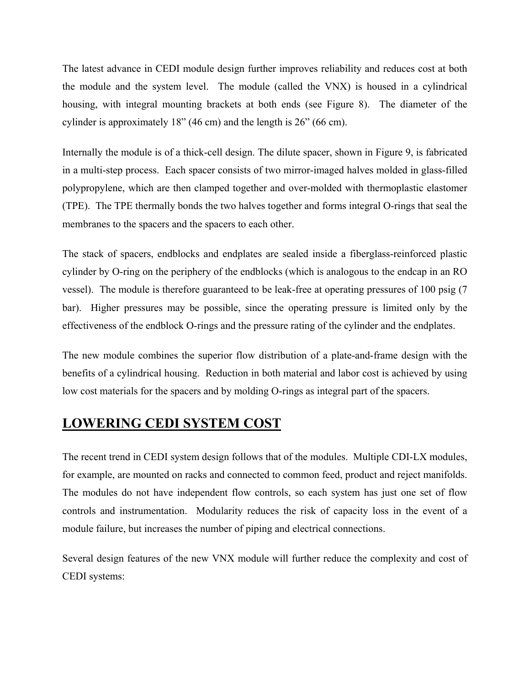The latest advance in CEDI module design further improves reliability and reduces cost at both the module and the system level. The module (called the VNX) is housed in a cylindrical housing, with integral mounting brackets at both ends (see Figure 8). The diameter of the cylinder is approximately 18" (46 cm) and the length is 26" (66 cm).

Internally the module is of a thick-cell design. The dilute spacer, shown in Figure 9, is fabricated in a multi-step process. Each spacer consists of two mirror-imaged halves molded in glass-filled polypropylene, which are then clamped together and over-molded with thermoplastic elastomer (TPE). The TPE thermally bonds the two halves together and forms integral O-rings that seal the membranes to the spacers and the spacers to each other.

The stack of spacers, endblocks and endplates are sealed inside a fiberglass-reinforced plastic cylinder by O-ring on the periphery of the endblocks (which is analogous to the endcap in an RO vessel). The module is therefore guaranteed to be leak-free at operating pressures of 100 psig (7 bar). Higher pressures may be possible, since the operating pressure is limited only by the effectiveness of the endblock O-rings and the pressure rating of the cylinder and the endplates.

The new module combines the superior flow distribution of a plate-and-frame design with the benefits of a cylindrical housing. Reduction in both material and labor cost is achieved by using low cost materials for the spacers and by molding O-rings as integral part of the spacers.

## **LOWERING CEDI SYSTEM COST**

The recent trend in CEDI system design follows that of the modules. Multiple CDI-LX modules, for example, are mounted on racks and connected to common feed, product and reject manifolds. The modules do not have independent flow controls, so each system has just one set of flow controls and instrumentation. Modularity reduces the risk of capacity loss in the event of a module failure, but increases the number of piping and electrical connections.

Several design features of the new VNX module will further reduce the complexity and cost of CEDI systems: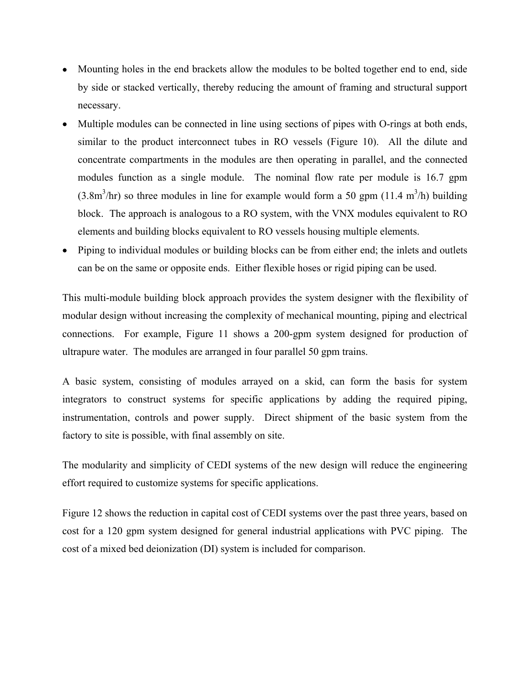- Mounting holes in the end brackets allow the modules to be bolted together end to end, side by side or stacked vertically, thereby reducing the amount of framing and structural support necessary.
- Multiple modules can be connected in line using sections of pipes with O-rings at both ends, similar to the product interconnect tubes in RO vessels (Figure 10). All the dilute and concentrate compartments in the modules are then operating in parallel, and the connected modules function as a single module. The nominal flow rate per module is 16.7 gpm  $(3.8m<sup>3</sup>/hr)$  so three modules in line for example would form a 50 gpm  $(11.4 m<sup>3</sup>/h)$  building block. The approach is analogous to a RO system, with the VNX modules equivalent to RO elements and building blocks equivalent to RO vessels housing multiple elements.
- Piping to individual modules or building blocks can be from either end; the inlets and outlets can be on the same or opposite ends. Either flexible hoses or rigid piping can be used.

This multi-module building block approach provides the system designer with the flexibility of modular design without increasing the complexity of mechanical mounting, piping and electrical connections. For example, Figure 11 shows a 200-gpm system designed for production of ultrapure water. The modules are arranged in four parallel 50 gpm trains.

A basic system, consisting of modules arrayed on a skid, can form the basis for system integrators to construct systems for specific applications by adding the required piping, instrumentation, controls and power supply. Direct shipment of the basic system from the factory to site is possible, with final assembly on site.

The modularity and simplicity of CEDI systems of the new design will reduce the engineering effort required to customize systems for specific applications.

Figure 12 shows the reduction in capital cost of CEDI systems over the past three years, based on cost for a 120 gpm system designed for general industrial applications with PVC piping. The cost of a mixed bed deionization (DI) system is included for comparison.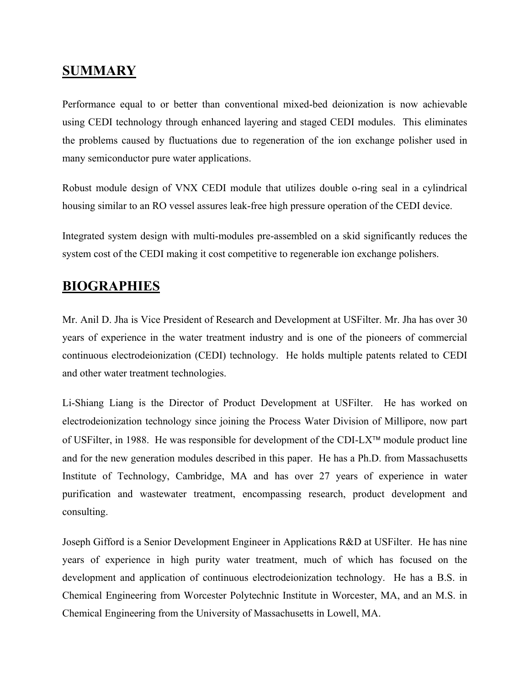# **SUMMARY**

Performance equal to or better than conventional mixed-bed deionization is now achievable using CEDI technology through enhanced layering and staged CEDI modules. This eliminates the problems caused by fluctuations due to regeneration of the ion exchange polisher used in many semiconductor pure water applications.

Robust module design of VNX CEDI module that utilizes double o-ring seal in a cylindrical housing similar to an RO vessel assures leak-free high pressure operation of the CEDI device.

Integrated system design with multi-modules pre-assembled on a skid significantly reduces the system cost of the CEDI making it cost competitive to regenerable ion exchange polishers.

### **BIOGRAPHIES**

Mr. Anil D. Jha is Vice President of Research and Development at USFilter. Mr. Jha has over 30 years of experience in the water treatment industry and is one of the pioneers of commercial continuous electrodeionization (CEDI) technology. He holds multiple patents related to CEDI and other water treatment technologies.

Li-Shiang Liang is the Director of Product Development at USFilter. He has worked on electrodeionization technology since joining the Process Water Division of Millipore, now part of USFilter, in 1988. He was responsible for development of the CDI-LX<sup> $TM$ </sup> module product line and for the new generation modules described in this paper. He has a Ph.D. from Massachusetts Institute of Technology, Cambridge, MA and has over 27 years of experience in water purification and wastewater treatment, encompassing research, product development and consulting.

Joseph Gifford is a Senior Development Engineer in Applications R&D at USFilter. He has nine years of experience in high purity water treatment, much of which has focused on the development and application of continuous electrodeionization technology. He has a B.S. in Chemical Engineering from Worcester Polytechnic Institute in Worcester, MA, and an M.S. in Chemical Engineering from the University of Massachusetts in Lowell, MA.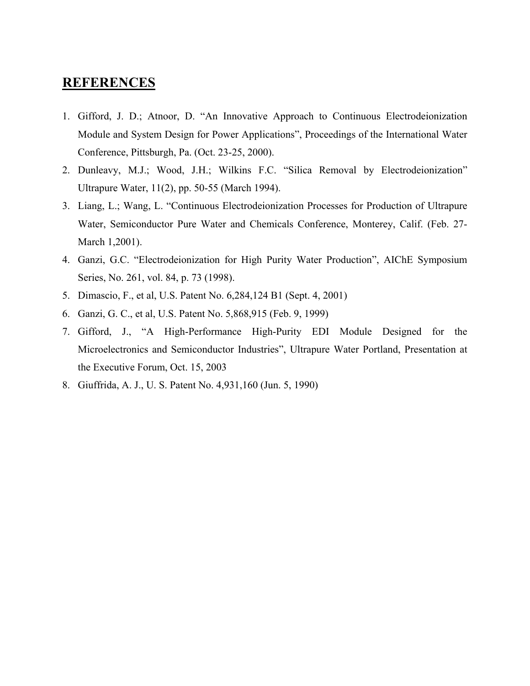### **REFERENCES**

- 1. Gifford, J. D.; Atnoor, D. "An Innovative Approach to Continuous Electrodeionization Module and System Design for Power Applications", Proceedings of the International Water Conference, Pittsburgh, Pa. (Oct. 23-25, 2000).
- 2. Dunleavy, M.J.; Wood, J.H.; Wilkins F.C. "Silica Removal by Electrodeionization" Ultrapure Water, 11(2), pp. 50-55 (March 1994).
- 3. Liang, L.; Wang, L. "Continuous Electrodeionization Processes for Production of Ultrapure Water, Semiconductor Pure Water and Chemicals Conference, Monterey, Calif. (Feb. 27- March 1,2001).
- 4. Ganzi, G.C. "Electrodeionization for High Purity Water Production", AIChE Symposium Series, No. 261, vol. 84, p. 73 (1998).
- 5. Dimascio, F., et al, U.S. Patent No. 6,284,124 B1 (Sept. 4, 2001)
- 6. Ganzi, G. C., et al, U.S. Patent No. 5,868,915 (Feb. 9, 1999)
- 7. Gifford, J., "A High-Performance High-Purity EDI Module Designed for the Microelectronics and Semiconductor Industries", Ultrapure Water Portland, Presentation at the Executive Forum, Oct. 15, 2003
- 8. Giuffrida, A. J., U. S. Patent No. 4,931,160 (Jun. 5, 1990)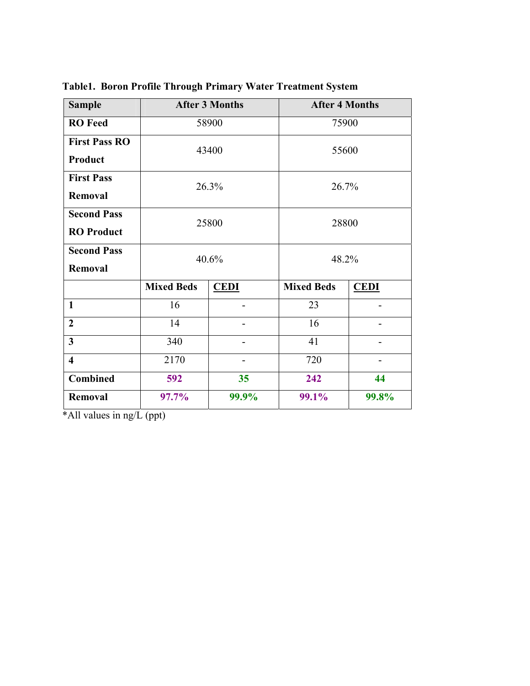| <b>Sample</b>           | <b>After 3 Months</b> |             | <b>After 4 Months</b> |             |
|-------------------------|-----------------------|-------------|-----------------------|-------------|
| <b>RO</b> Feed          | 58900                 |             | 75900                 |             |
| <b>First Pass RO</b>    | 43400                 |             | 55600                 |             |
| Product                 |                       |             |                       |             |
| <b>First Pass</b>       | 26.3%                 |             | 26.7%                 |             |
| Removal                 |                       |             |                       |             |
| <b>Second Pass</b>      | 25800                 |             | 28800                 |             |
| <b>RO</b> Product       |                       |             |                       |             |
| <b>Second Pass</b>      | 40.6%                 |             | 48.2%                 |             |
| Removal                 |                       |             |                       |             |
|                         | <b>Mixed Beds</b>     | <b>CEDI</b> | <b>Mixed Beds</b>     | <b>CEDI</b> |
| $\mathbf{1}$            | 16                    |             | 23                    |             |
| $\overline{2}$          | 14                    |             | 16                    |             |
| $\overline{3}$          | 340                   |             | 41                    |             |
| $\overline{\mathbf{4}}$ | 2170                  |             | 720                   |             |
| <b>Combined</b>         | 592                   | 35          | 242                   | 44          |
| Removal                 | 97.7%                 | 99.9%       | 99.1%                 | 99.8%       |

**Table1. Boron Profile Through Primary Water Treatment System** 

\*All values in ng/L (ppt)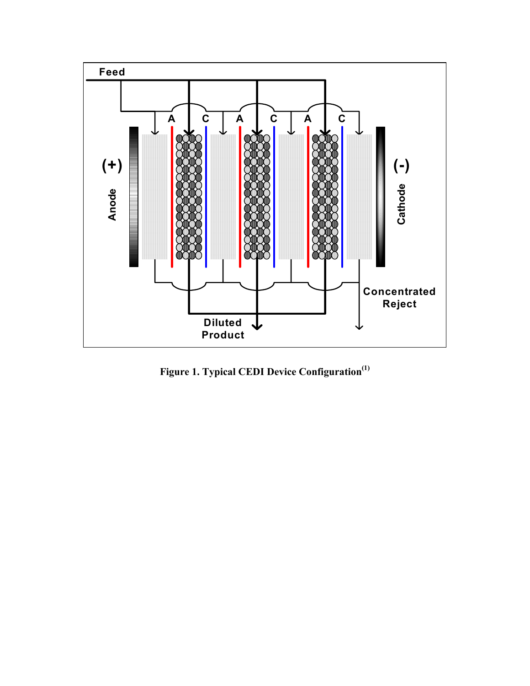

**Figure 1. Typical CEDI Device Configuration(1)**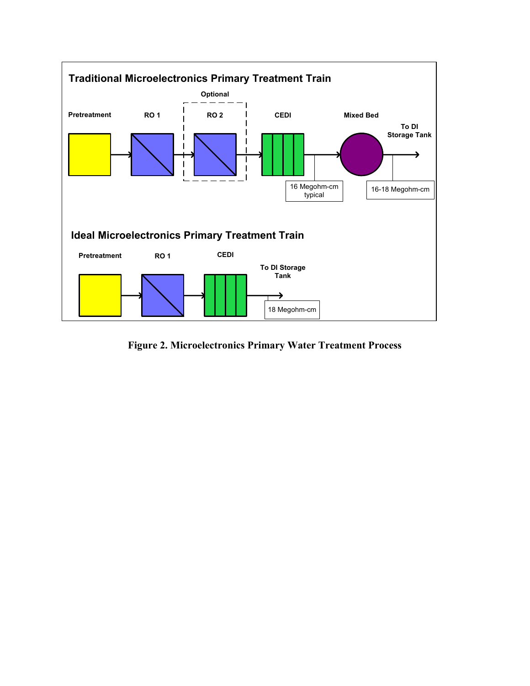

**Figure 2. Microelectronics Primary Water Treatment Process**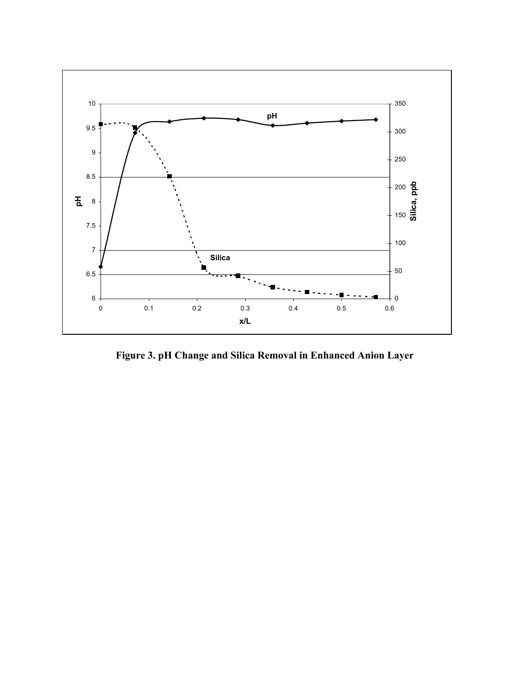

**Figure 3. pH Change and Silica Removal in Enhanced Anion Layer**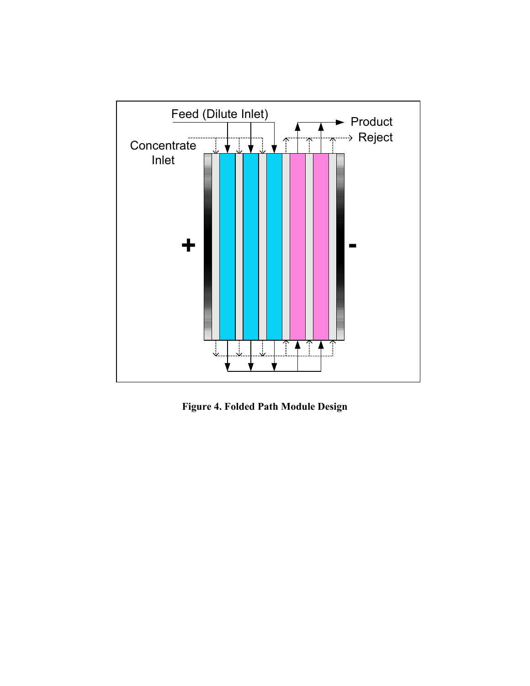

**Figure 4. Folded Path Module Design**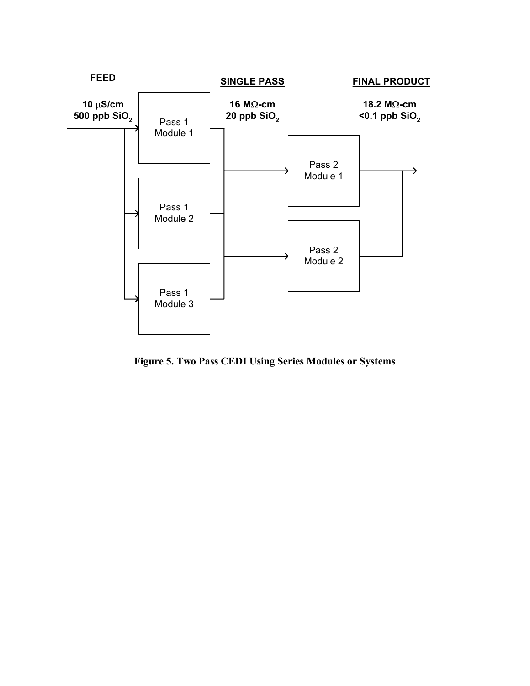

**Figure 5. Two Pass CEDI Using Series Modules or Systems**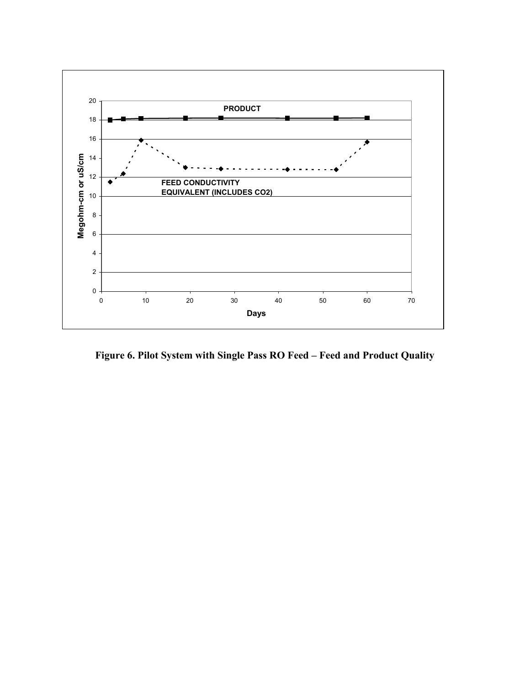

**Figure 6. Pilot System with Single Pass RO Feed – Feed and Product Quality**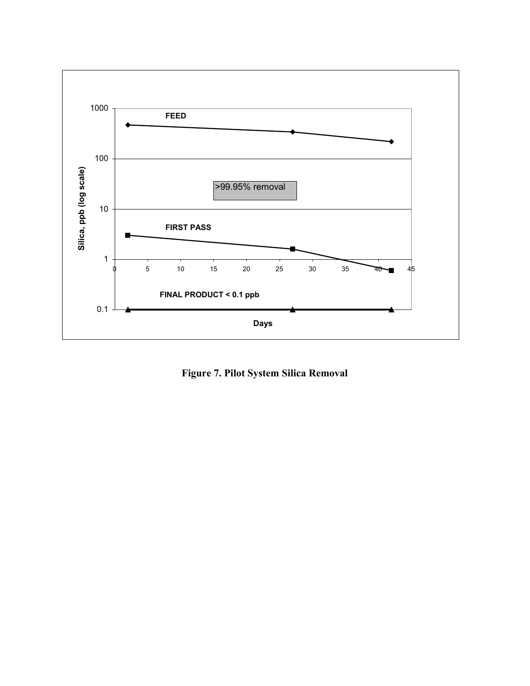

**Figure 7. Pilot System Silica Removal**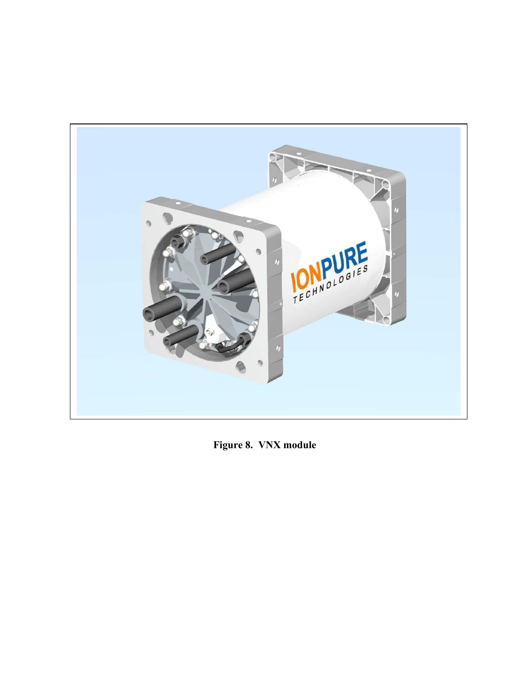

**Figure 8. VNX module**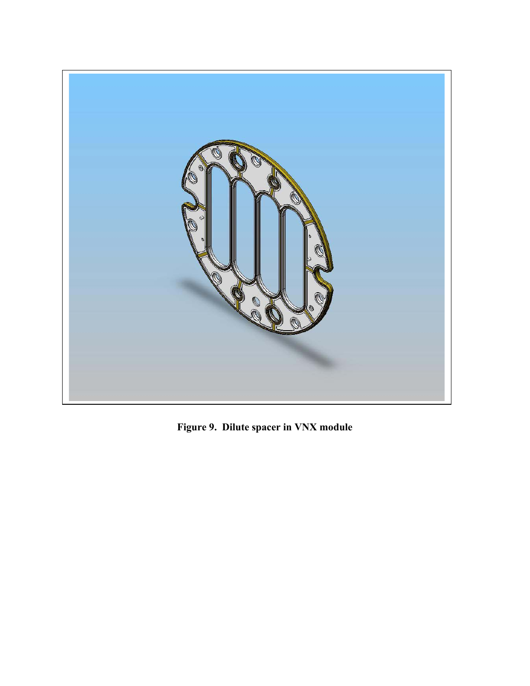

**Figure 9. Dilute spacer in VNX module**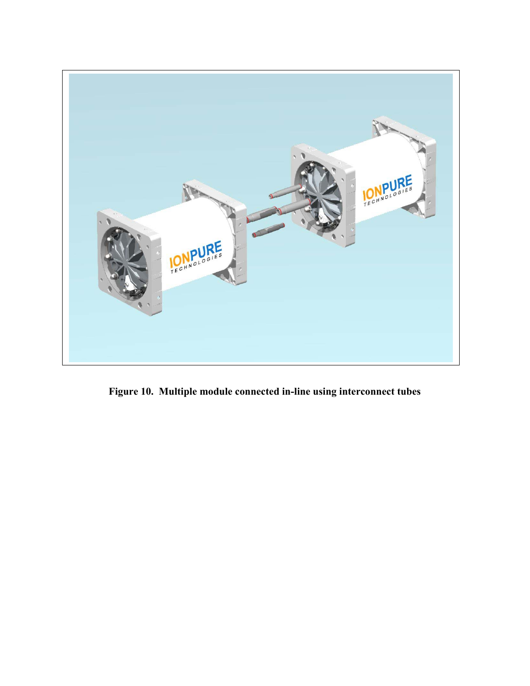

**Figure 10. Multiple module connected in-line using interconnect tubes**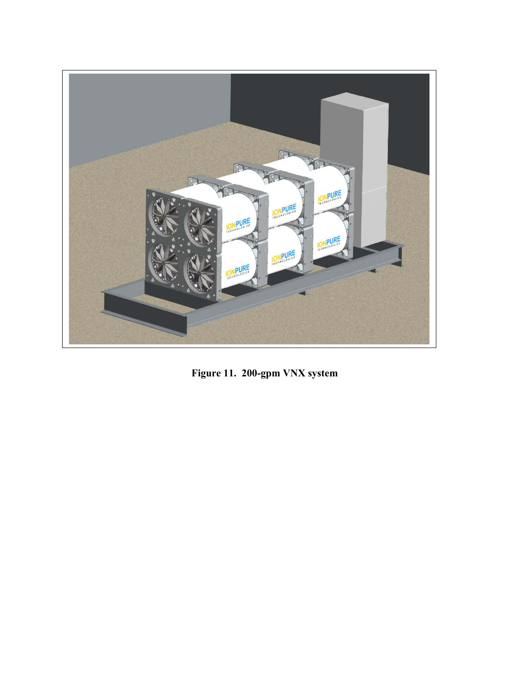

**Figure 11. 200-gpm VNX system**